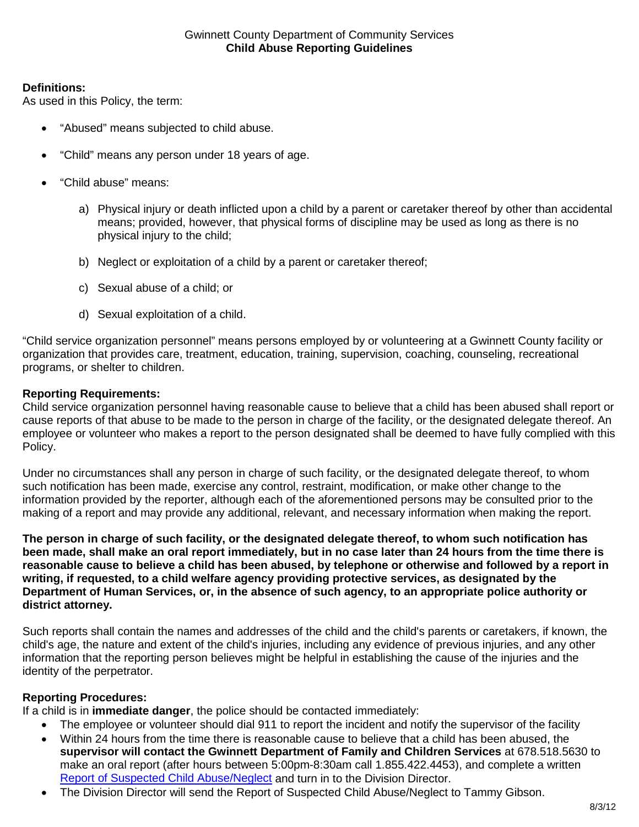## **Definitions:**

As used in this Policy, the term:

- "Abused" means subjected to child abuse.
- "Child" means any person under 18 years of age.
- "Child abuse" means:
	- a) Physical injury or death inflicted upon a child by a parent or caretaker thereof by other than accidental means; provided, however, that physical forms of discipline may be used as long as there is no physical injury to the child;
	- b) Neglect or exploitation of a child by a parent or caretaker thereof;
	- c) Sexual abuse of a child; or
	- d) Sexual exploitation of a child.

"Child service organization personnel" means persons employed by or volunteering at a Gwinnett County facility or organization that provides care, treatment, education, training, supervision, coaching, counseling, recreational programs, or shelter to children.

## **Reporting Requirements:**

Child service organization personnel having reasonable cause to believe that a child has been abused shall report or cause reports of that abuse to be made to the person in charge of the facility, or the designated delegate thereof. An employee or volunteer who makes a report to the person designated shall be deemed to have fully complied with this Policy.

Under no circumstances shall any person in charge of such facility, or the designated delegate thereof, to whom such notification has been made, exercise any control, restraint, modification, or make other change to the information provided by the reporter, although each of the aforementioned persons may be consulted prior to the making of a report and may provide any additional, relevant, and necessary information when making the report.

**The person in charge of such facility, or the designated delegate thereof, to whom such notification has been made, shall make an oral report immediately, but in no case later than 24 hours from the time there is reasonable cause to believe a child has been abused, by telephone or otherwise and followed by a report in writing, if requested, to a child welfare agency providing protective services, as designated by the Department of Human Services, or, in the absence of such agency, to an appropriate police authority or district attorney.** 

Such reports shall contain the names and addresses of the child and the child's parents or caretakers, if known, the child's age, the nature and extent of the child's injuries, including any evidence of previous injuries, and any other information that the reporting person believes might be helpful in establishing the cause of the injuries and the identity of the perpetrator.

## **Reporting Procedures:**

If a child is in **immediate danger**, the police should be contacted immediately:

- The employee or volunteer should dial 911 to report the incident and notify the supervisor of the facility
- Within 24 hours from the time there is reasonable cause to believe that a child has been abused, the **supervisor will contact the Gwinnett Department of Family and Children Services** at 678.518.5630 to make an oral report (after hours between 5:00pm-8:30am call 1.855.422.4453), and complete a written [Report of Suspected Child Abuse/Neglect](https://intranet.gwinnettcounty.com/mydepartment/communityservices/Policies%20and%20Forms/Report%20of%20Suspected%20Child%20Abuse-Neglect_DoCS.pdf) and turn in to the Division Director.
- The Division Director will send the Report of Suspected Child Abuse/Neglect to Tammy Gibson.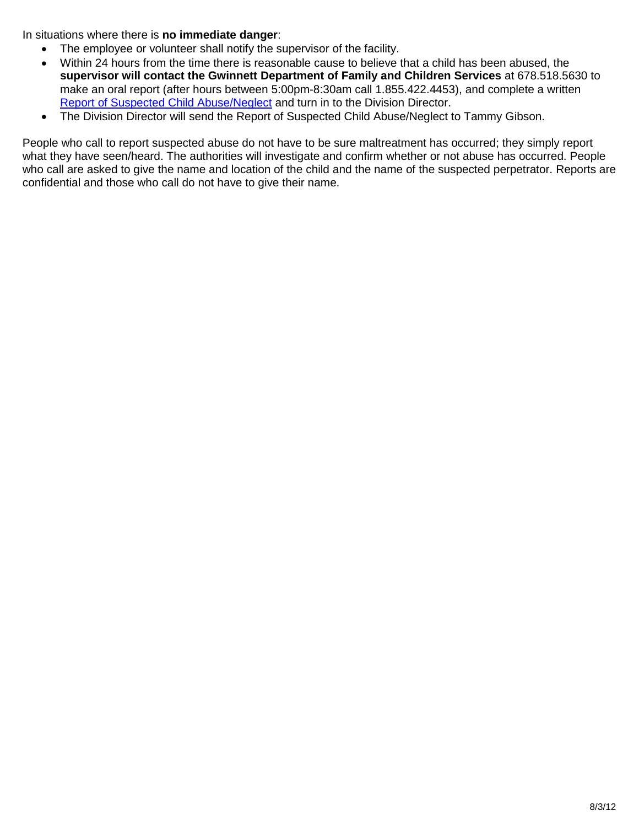In situations where there is **no immediate danger**:

- The employee or volunteer shall notify the supervisor of the facility.
- Within 24 hours from the time there is reasonable cause to believe that a child has been abused, the **supervisor will contact the Gwinnett Department of Family and Children Services** at 678.518.5630 to make an oral report (after hours between 5:00pm-8:30am call 1.855.422.4453), and complete a written [Report of Suspected Child Abuse/Neglect](https://intranet.gwinnettcounty.com/mydepartment/communityservices/Policies%20and%20Forms/Report%20of%20Suspected%20Child%20Abuse-Neglect_DoCS.pdf) and turn in to the Division Director.
- The Division Director will send the Report of Suspected Child Abuse/Neglect to Tammy Gibson.

People who call to report suspected abuse do not have to be sure maltreatment has occurred; they simply report what they have seen/heard. The authorities will investigate and confirm whether or not abuse has occurred. People who call are asked to give the name and location of the child and the name of the suspected perpetrator. Reports are confidential and those who call do not have to give their name.